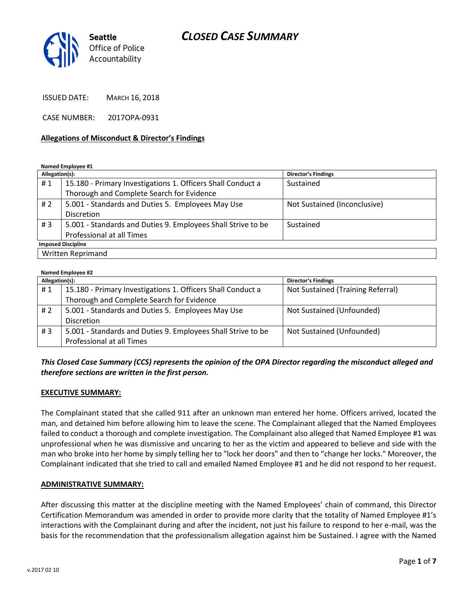

ISSUED DATE: MARCH 16, 2018

CASE NUMBER: 2017OPA-0931

#### **Allegations of Misconduct & Director's Findings**

**Named Employee #1**

| Allegation(s):            |                                                              | <b>Director's Findings</b>   |  |
|---------------------------|--------------------------------------------------------------|------------------------------|--|
| #1                        | 15.180 - Primary Investigations 1. Officers Shall Conduct a  | Sustained                    |  |
|                           | Thorough and Complete Search for Evidence                    |                              |  |
| #2                        | 5.001 - Standards and Duties 5. Employees May Use            | Not Sustained (Inconclusive) |  |
|                           | Discretion                                                   |                              |  |
| #3                        | 5.001 - Standards and Duties 9. Employees Shall Strive to be | Sustained                    |  |
|                           | Professional at all Times                                    |                              |  |
| <b>Imposed Discipline</b> |                                                              |                              |  |
| Written Reprimand         |                                                              |                              |  |

#### **Named Employee #2**

| Allegation(s): |                                                              | <b>Director's Findings</b>        |
|----------------|--------------------------------------------------------------|-----------------------------------|
| #1             | 15.180 - Primary Investigations 1. Officers Shall Conduct a  | Not Sustained (Training Referral) |
|                | Thorough and Complete Search for Evidence                    |                                   |
| #2             | 5.001 - Standards and Duties 5. Employees May Use            | Not Sustained (Unfounded)         |
|                | <b>Discretion</b>                                            |                                   |
| # $3$          | 5.001 - Standards and Duties 9. Employees Shall Strive to be | Not Sustained (Unfounded)         |
|                | Professional at all Times                                    |                                   |

### *This Closed Case Summary (CCS) represents the opinion of the OPA Director regarding the misconduct alleged and therefore sections are written in the first person.*

#### **EXECUTIVE SUMMARY:**

The Complainant stated that she called 911 after an unknown man entered her home. Officers arrived, located the man, and detained him before allowing him to leave the scene. The Complainant alleged that the Named Employees failed to conduct a thorough and complete investigation. The Complainant also alleged that Named Employee #1 was unprofessional when he was dismissive and uncaring to her as the victim and appeared to believe and side with the man who broke into her home by simply telling her to "lock her doors" and then to "change her locks." Moreover, the Complainant indicated that she tried to call and emailed Named Employee #1 and he did not respond to her request.

#### **ADMINISTRATIVE SUMMARY:**

After discussing this matter at the discipline meeting with the Named Employees' chain of command, this Director Certification Memorandum was amended in order to provide more clarity that the totality of Named Employee #1's interactions with the Complainant during and after the incident, not just his failure to respond to her e-mail, was the basis for the recommendation that the professionalism allegation against him be Sustained. I agree with the Named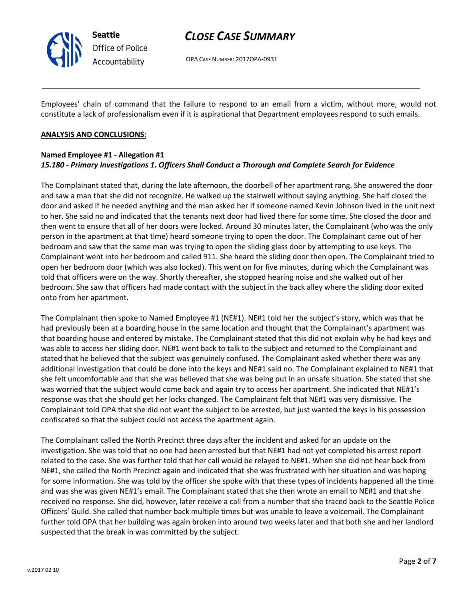

OPA CASE NUMBER: 2017OPA-0931

Employees' chain of command that the failure to respond to an email from a victim, without more, would not constitute a lack of professionalism even if it is aspirational that Department employees respond to such emails.

#### **ANALYSIS AND CONCLUSIONS:**

### **Named Employee #1 - Allegation #1** *15.180 - Primary Investigations 1. Officers Shall Conduct a Thorough and Complete Search for Evidence*

The Complainant stated that, during the late afternoon, the doorbell of her apartment rang. She answered the door and saw a man that she did not recognize. He walked up the stairwell without saying anything. She half closed the door and asked if he needed anything and the man asked her if someone named Kevin Johnson lived in the unit next to her. She said no and indicated that the tenants next door had lived there for some time. She closed the door and then went to ensure that all of her doors were locked. Around 30 minutes later, the Complainant (who was the only person in the apartment at that time) heard someone trying to open the door. The Complainant came out of her bedroom and saw that the same man was trying to open the sliding glass door by attempting to use keys. The Complainant went into her bedroom and called 911. She heard the sliding door then open. The Complainant tried to open her bedroom door (which was also locked). This went on for five minutes, during which the Complainant was told that officers were on the way. Shortly thereafter, she stopped hearing noise and she walked out of her bedroom. She saw that officers had made contact with the subject in the back alley where the sliding door exited onto from her apartment.

The Complainant then spoke to Named Employee #1 (NE#1). NE#1 told her the subject's story, which was that he had previously been at a boarding house in the same location and thought that the Complainant's apartment was that boarding house and entered by mistake. The Complainant stated that this did not explain why he had keys and was able to access her sliding door. NE#1 went back to talk to the subject and returned to the Complainant and stated that he believed that the subject was genuinely confused. The Complainant asked whether there was any additional investigation that could be done into the keys and NE#1 said no. The Complainant explained to NE#1 that she felt uncomfortable and that she was believed that she was being put in an unsafe situation. She stated that she was worried that the subject would come back and again try to access her apartment. She indicated that NE#1's response was that she should get her locks changed. The Complainant felt that NE#1 was very dismissive. The Complainant told OPA that she did not want the subject to be arrested, but just wanted the keys in his possession confiscated so that the subject could not access the apartment again.

The Complainant called the North Precinct three days after the incident and asked for an update on the investigation. She was told that no one had been arrested but that NE#1 had not yet completed his arrest report related to the case. She was further told that her call would be relayed to NE#1. When she did not hear back from NE#1, she called the North Precinct again and indicated that she was frustrated with her situation and was hoping for some information. She was told by the officer she spoke with that these types of incidents happened all the time and was she was given NE#1's email. The Complainant stated that she then wrote an email to NE#1 and that she received no response. She did, however, later receive a call from a number that she traced back to the Seattle Police Officers' Guild. She called that number back multiple times but was unable to leave a voicemail. The Complainant further told OPA that her building was again broken into around two weeks later and that both she and her landlord suspected that the break in was committed by the subject.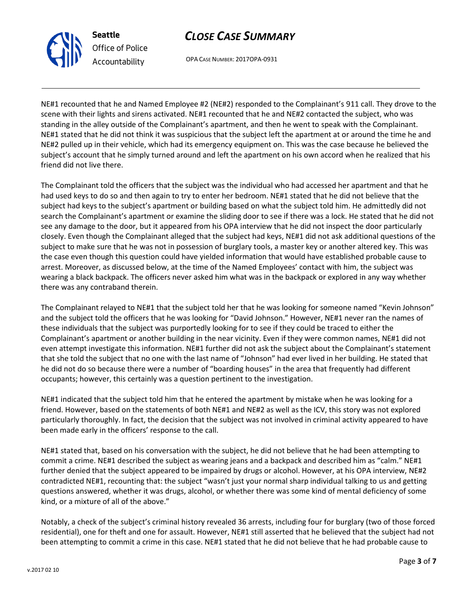

OPA CASE NUMBER: 2017OPA-0931

NE#1 recounted that he and Named Employee #2 (NE#2) responded to the Complainant's 911 call. They drove to the scene with their lights and sirens activated. NE#1 recounted that he and NE#2 contacted the subject, who was standing in the alley outside of the Complainant's apartment, and then he went to speak with the Complainant. NE#1 stated that he did not think it was suspicious that the subject left the apartment at or around the time he and NE#2 pulled up in their vehicle, which had its emergency equipment on. This was the case because he believed the subject's account that he simply turned around and left the apartment on his own accord when he realized that his friend did not live there.

The Complainant told the officers that the subject was the individual who had accessed her apartment and that he had used keys to do so and then again to try to enter her bedroom. NE#1 stated that he did not believe that the subject had keys to the subject's apartment or building based on what the subject told him. He admittedly did not search the Complainant's apartment or examine the sliding door to see if there was a lock. He stated that he did not see any damage to the door, but it appeared from his OPA interview that he did not inspect the door particularly closely. Even though the Complainant alleged that the subject had keys, NE#1 did not ask additional questions of the subject to make sure that he was not in possession of burglary tools, a master key or another altered key. This was the case even though this question could have yielded information that would have established probable cause to arrest. Moreover, as discussed below, at the time of the Named Employees' contact with him, the subject was wearing a black backpack. The officers never asked him what was in the backpack or explored in any way whether there was any contraband therein.

The Complainant relayed to NE#1 that the subject told her that he was looking for someone named "Kevin Johnson" and the subject told the officers that he was looking for "David Johnson." However, NE#1 never ran the names of these individuals that the subject was purportedly looking for to see if they could be traced to either the Complainant's apartment or another building in the near vicinity. Even if they were common names, NE#1 did not even attempt investigate this information. NE#1 further did not ask the subject about the Complainant's statement that she told the subject that no one with the last name of "Johnson" had ever lived in her building. He stated that he did not do so because there were a number of "boarding houses" in the area that frequently had different occupants; however, this certainly was a question pertinent to the investigation.

NE#1 indicated that the subject told him that he entered the apartment by mistake when he was looking for a friend. However, based on the statements of both NE#1 and NE#2 as well as the ICV, this story was not explored particularly thoroughly. In fact, the decision that the subject was not involved in criminal activity appeared to have been made early in the officers' response to the call.

NE#1 stated that, based on his conversation with the subject, he did not believe that he had been attempting to commit a crime. NE#1 described the subject as wearing jeans and a backpack and described him as "calm." NE#1 further denied that the subject appeared to be impaired by drugs or alcohol. However, at his OPA interview, NE#2 contradicted NE#1, recounting that: the subject "wasn't just your normal sharp individual talking to us and getting questions answered, whether it was drugs, alcohol, or whether there was some kind of mental deficiency of some kind, or a mixture of all of the above."

Notably, a check of the subject's criminal history revealed 36 arrests, including four for burglary (two of those forced residential), one for theft and one for assault. However, NE#1 still asserted that he believed that the subject had not been attempting to commit a crime in this case. NE#1 stated that he did not believe that he had probable cause to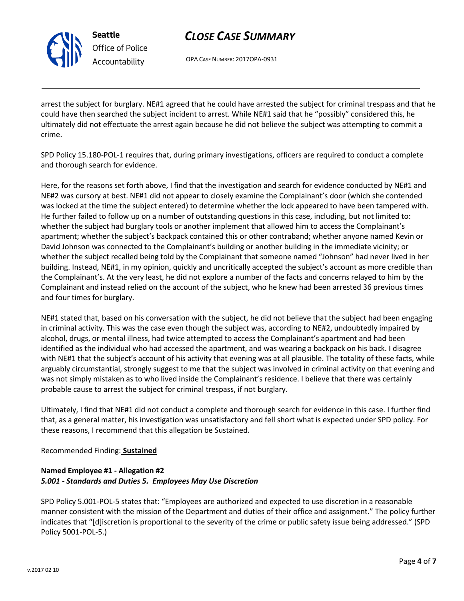

**Seattle** *Office of Police Accountability*

# *CLOSE CASE SUMMARY*

OPA CASE NUMBER: 2017OPA-0931

arrest the subject for burglary. NE#1 agreed that he could have arrested the subject for criminal trespass and that he could have then searched the subject incident to arrest. While NE#1 said that he "possibly" considered this, he ultimately did not effectuate the arrest again because he did not believe the subject was attempting to commit a crime.

SPD Policy 15.180-POL-1 requires that, during primary investigations, officers are required to conduct a complete and thorough search for evidence.

Here, for the reasons set forth above, I find that the investigation and search for evidence conducted by NE#1 and NE#2 was cursory at best. NE#1 did not appear to closely examine the Complainant's door (which she contended was locked at the time the subject entered) to determine whether the lock appeared to have been tampered with. He further failed to follow up on a number of outstanding questions in this case, including, but not limited to: whether the subject had burglary tools or another implement that allowed him to access the Complainant's apartment; whether the subject's backpack contained this or other contraband; whether anyone named Kevin or David Johnson was connected to the Complainant's building or another building in the immediate vicinity; or whether the subject recalled being told by the Complainant that someone named "Johnson" had never lived in her building. Instead, NE#1, in my opinion, quickly and uncritically accepted the subject's account as more credible than the Complainant's. At the very least, he did not explore a number of the facts and concerns relayed to him by the Complainant and instead relied on the account of the subject, who he knew had been arrested 36 previous times and four times for burglary.

NE#1 stated that, based on his conversation with the subject, he did not believe that the subject had been engaging in criminal activity. This was the case even though the subject was, according to NE#2, undoubtedly impaired by alcohol, drugs, or mental illness, had twice attempted to access the Complainant's apartment and had been identified as the individual who had accessed the apartment, and was wearing a backpack on his back. I disagree with NE#1 that the subject's account of his activity that evening was at all plausible. The totality of these facts, while arguably circumstantial, strongly suggest to me that the subject was involved in criminal activity on that evening and was not simply mistaken as to who lived inside the Complainant's residence. I believe that there was certainly probable cause to arrest the subject for criminal trespass, if not burglary.

Ultimately, I find that NE#1 did not conduct a complete and thorough search for evidence in this case. I further find that, as a general matter, his investigation was unsatisfactory and fell short what is expected under SPD policy. For these reasons, I recommend that this allegation be Sustained.

Recommended Finding: **Sustained**

### **Named Employee #1 - Allegation #2** *5.001 - Standards and Duties 5. Employees May Use Discretion*

SPD Policy 5.001-POL-5 states that: "Employees are authorized and expected to use discretion in a reasonable manner consistent with the mission of the Department and duties of their office and assignment." The policy further indicates that "[d]iscretion is proportional to the severity of the crime or public safety issue being addressed." (SPD Policy 5001-POL-5.)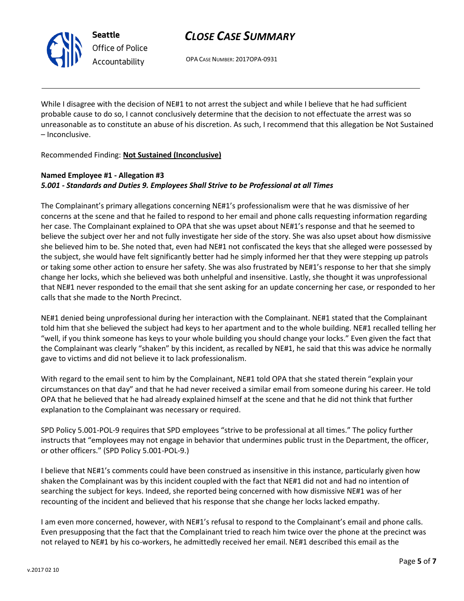

OPA CASE NUMBER: 2017OPA-0931

While I disagree with the decision of NE#1 to not arrest the subject and while I believe that he had sufficient probable cause to do so, I cannot conclusively determine that the decision to not effectuate the arrest was so unreasonable as to constitute an abuse of his discretion. As such, I recommend that this allegation be Not Sustained – Inconclusive.

Recommended Finding: **Not Sustained (Inconclusive)**

### **Named Employee #1 - Allegation #3** *5.001 - Standards and Duties 9. Employees Shall Strive to be Professional at all Times*

The Complainant's primary allegations concerning NE#1's professionalism were that he was dismissive of her concerns at the scene and that he failed to respond to her email and phone calls requesting information regarding her case. The Complainant explained to OPA that she was upset about NE#1's response and that he seemed to believe the subject over her and not fully investigate her side of the story. She was also upset about how dismissive she believed him to be. She noted that, even had NE#1 not confiscated the keys that she alleged were possessed by the subject, she would have felt significantly better had he simply informed her that they were stepping up patrols or taking some other action to ensure her safety. She was also frustrated by NE#1's response to her that she simply change her locks, which she believed was both unhelpful and insensitive. Lastly, she thought it was unprofessional that NE#1 never responded to the email that she sent asking for an update concerning her case, or responded to her calls that she made to the North Precinct.

NE#1 denied being unprofessional during her interaction with the Complainant. NE#1 stated that the Complainant told him that she believed the subject had keys to her apartment and to the whole building. NE#1 recalled telling her "well, if you think someone has keys to your whole building you should change your locks." Even given the fact that the Complainant was clearly "shaken" by this incident, as recalled by NE#1, he said that this was advice he normally gave to victims and did not believe it to lack professionalism.

With regard to the email sent to him by the Complainant, NE#1 told OPA that she stated therein "explain your circumstances on that day" and that he had never received a similar email from someone during his career. He told OPA that he believed that he had already explained himself at the scene and that he did not think that further explanation to the Complainant was necessary or required.

SPD Policy 5.001-POL-9 requires that SPD employees "strive to be professional at all times." The policy further instructs that "employees may not engage in behavior that undermines public trust in the Department, the officer, or other officers." (SPD Policy 5.001-POL-9.)

I believe that NE#1's comments could have been construed as insensitive in this instance, particularly given how shaken the Complainant was by this incident coupled with the fact that NE#1 did not and had no intention of searching the subject for keys. Indeed, she reported being concerned with how dismissive NE#1 was of her recounting of the incident and believed that his response that she change her locks lacked empathy.

I am even more concerned, however, with NE#1's refusal to respond to the Complainant's email and phone calls. Even presupposing that the fact that the Complainant tried to reach him twice over the phone at the precinct was not relayed to NE#1 by his co-workers, he admittedly received her email. NE#1 described this email as the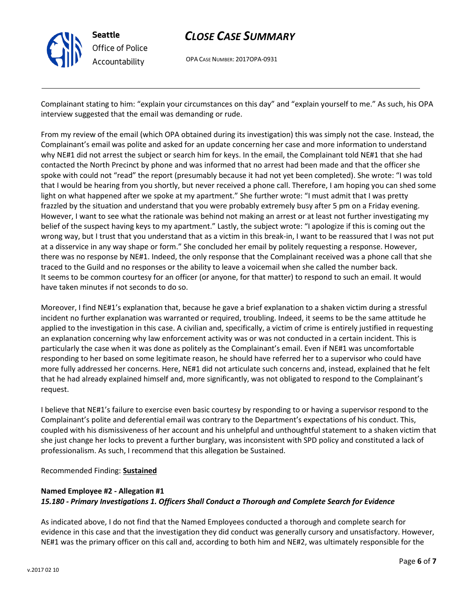

OPA CASE NUMBER: 2017OPA-0931

Complainant stating to him: "explain your circumstances on this day" and "explain yourself to me." As such, his OPA interview suggested that the email was demanding or rude.

From my review of the email (which OPA obtained during its investigation) this was simply not the case. Instead, the Complainant's email was polite and asked for an update concerning her case and more information to understand why NE#1 did not arrest the subject or search him for keys. In the email, the Complainant told NE#1 that she had contacted the North Precinct by phone and was informed that no arrest had been made and that the officer she spoke with could not "read" the report (presumably because it had not yet been completed). She wrote: "I was told that I would be hearing from you shortly, but never received a phone call. Therefore, I am hoping you can shed some light on what happened after we spoke at my apartment." She further wrote: "I must admit that I was pretty frazzled by the situation and understand that you were probably extremely busy after 5 pm on a Friday evening. However, I want to see what the rationale was behind not making an arrest or at least not further investigating my belief of the suspect having keys to my apartment." Lastly, the subject wrote: "I apologize if this is coming out the wrong way, but I trust that you understand that as a victim in this break-in, I want to be reassured that I was not put at a disservice in any way shape or form." She concluded her email by politely requesting a response. However, there was no response by NE#1. Indeed, the only response that the Complainant received was a phone call that she traced to the Guild and no responses or the ability to leave a voicemail when she called the number back. It seems to be common courtesy for an officer (or anyone, for that matter) to respond to such an email. It would have taken minutes if not seconds to do so.

Moreover, I find NE#1's explanation that, because he gave a brief explanation to a shaken victim during a stressful incident no further explanation was warranted or required, troubling. Indeed, it seems to be the same attitude he applied to the investigation in this case. A civilian and, specifically, a victim of crime is entirely justified in requesting an explanation concerning why law enforcement activity was or was not conducted in a certain incident. This is particularly the case when it was done as politely as the Complainant's email. Even if NE#1 was uncomfortable responding to her based on some legitimate reason, he should have referred her to a supervisor who could have more fully addressed her concerns. Here, NE#1 did not articulate such concerns and, instead, explained that he felt that he had already explained himself and, more significantly, was not obligated to respond to the Complainant's request.

I believe that NE#1's failure to exercise even basic courtesy by responding to or having a supervisor respond to the Complainant's polite and deferential email was contrary to the Department's expectations of his conduct. This, coupled with his dismissiveness of her account and his unhelpful and unthoughtful statement to a shaken victim that she just change her locks to prevent a further burglary, was inconsistent with SPD policy and constituted a lack of professionalism. As such, I recommend that this allegation be Sustained.

Recommended Finding: **Sustained**

### **Named Employee #2 - Allegation #1** *15.180 - Primary Investigations 1. Officers Shall Conduct a Thorough and Complete Search for Evidence*

As indicated above, I do not find that the Named Employees conducted a thorough and complete search for evidence in this case and that the investigation they did conduct was generally cursory and unsatisfactory. However, NE#1 was the primary officer on this call and, according to both him and NE#2, was ultimately responsible for the